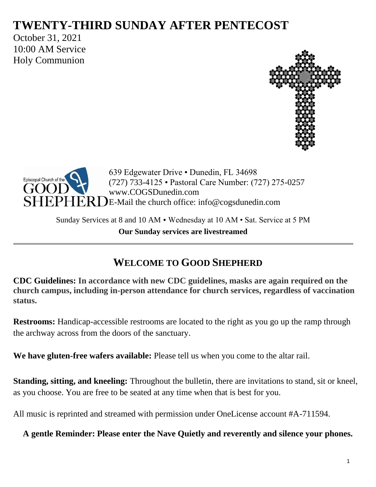# **TWENTY-THIRD SUNDAY AFTER PENTECOST**

October 31, 2021 10:00 AM Service Holy Communion





639 Edgewater Drive • Dunedin, FL 34698 (727) 733-4125 • Pastoral Care Number: (727) 275-0257 www.COGSDunedin.com E-Mail the church office: info@cogsdunedin.com

Sunday Services at 8 and 10 AM • Wednesday at 10 AM • Sat. Service at 5 PM **Our Sunday services are livestreamed**

# **WELCOME TO GOOD SHEPHERD**

**CDC Guidelines: In accordance with new CDC guidelines, masks are again required on the church campus, including in-person attendance for church services, regardless of vaccination status.**

**Restrooms:** Handicap-accessible restrooms are located to the right as you go up the ramp through the archway across from the doors of the sanctuary.

**We have gluten-free wafers available:** Please tell us when you come to the altar rail.

**Standing, sitting, and kneeling:** Throughout the bulletin, there are invitations to stand, sit or kneel, as you choose. You are free to be seated at any time when that is best for you.

All music is reprinted and streamed with permission under OneLicense account #A-711594.

**A gentle Reminder: Please enter the Nave Quietly and reverently and silence your phones.**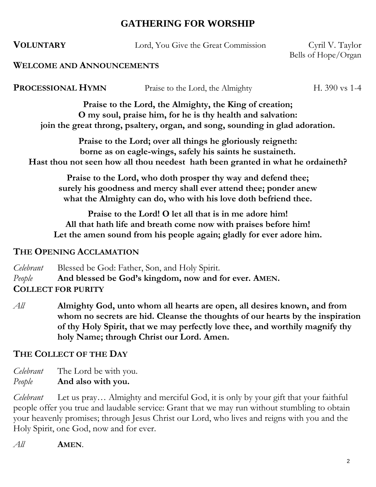# **GATHERING FOR WORSHIP**

**VOLUNTARY** Lord, You Give the Great Commission Cyril V. Taylor

Bells of Hope/Organ

#### **WELCOME AND ANNOUNCEMENTS**

**PROCESSIONAL HYMN** Praise to the Lord, the Almighty H. 390 vs 1-4

**Praise to the Lord, the Almighty, the King of creation; O my soul, praise him, for he is thy health and salvation: join the great throng, psaltery, organ, and song, sounding in glad adoration.**

**Praise to the Lord; over all things he gloriously reigneth: borne as on eagle-wings, safely his saints he sustaineth. Hast thou not seen how all thou needest hath been granted in what he ordaineth?**

**Praise to the Lord, who doth prosper thy way and defend thee; surely his goodness and mercy shall ever attend thee; ponder anew what the Almighty can do, who with his love doth befriend thee.**

**Praise to the Lord! O let all that is in me adore him! All that hath life and breath come now with praises before him! Let the amen sound from his people again; gladly for ever adore him.**

#### **THE OPENING ACCLAMATION**

*Celebrant* Blessed be God: Father, Son, and Holy Spirit. *People* **And blessed be God's kingdom, now and for ever. AMEN. COLLECT FOR PURITY**

*All* **Almighty God, unto whom all hearts are open, all desires known, and from whom no secrets are hid. Cleanse the thoughts of our hearts by the inspiration of thy Holy Spirit, that we may perfectly love thee, and worthily magnify thy holy Name; through Christ our Lord. Amen.**

## **THE COLLECT OF THE DAY**

*Celebrant* The Lord be with you. *People* **And also with you.**

*Celebrant* Let us pray… Almighty and merciful God, it is only by your gift that your faithful people offer you true and laudable service: Grant that we may run without stumbling to obtain your heavenly promises; through Jesus Christ our Lord, who lives and reigns with you and the Holy Spirit, one God, now and for ever.

*All* **AMEN**.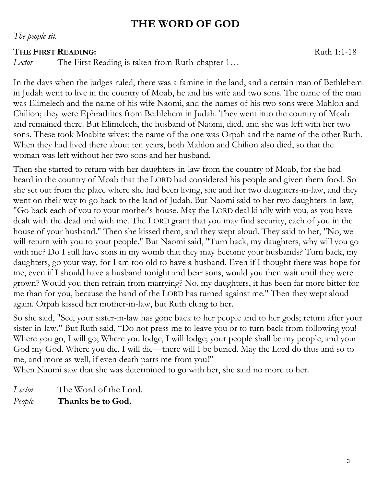# **THE WORD OF GOD**

*The people sit.*

#### **THE FIRST READING:** Ruth 1:1-18

*Lector* The First Reading is taken from Ruth chapter 1…

In the days when the judges ruled, there was a famine in the land, and a certain man of Bethlehem in Judah went to live in the country of Moab, he and his wife and two sons. The name of the man was Elimelech and the name of his wife Naomi, and the names of his two sons were Mahlon and Chilion; they were Ephrathites from Bethlehem in Judah. They went into the country of Moab and remained there. But Elimelech, the husband of Naomi, died, and she was left with her two sons. These took Moabite wives; the name of the one was Orpah and the name of the other Ruth. When they had lived there about ten years, both Mahlon and Chilion also died, so that the woman was left without her two sons and her husband.

Then she started to return with her daughters-in-law from the country of Moab, for she had heard in the country of Moab that the LORD had considered his people and given them food. So she set out from the place where she had been living, she and her two daughters-in-law, and they went on their way to go back to the land of Judah. But Naomi said to her two daughters-in-law, "Go back each of you to your mother's house. May the LORD deal kindly with you, as you have dealt with the dead and with me. The LORD grant that you may find security, each of you in the house of your husband." Then she kissed them, and they wept aloud. They said to her, "No, we will return with you to your people." But Naomi said, "Turn back, my daughters, why will you go with me? Do I still have sons in my womb that they may become your husbands? Turn back, my daughters, go your way, for I am too old to have a husband. Even if I thought there was hope for me, even if I should have a husband tonight and bear sons, would you then wait until they were grown? Would you then refrain from marrying? No, my daughters, it has been far more bitter for me than for you, because the hand of the LORD has turned against me." Then they wept aloud again. Orpah kissed her mother-in-law, but Ruth clung to her.

So she said, "See, your sister-in-law has gone back to her people and to her gods; return after your sister-in-law." But Ruth said, "Do not press me to leave you or to turn back from following you! Where you go, I will go; Where you lodge, I will lodge; your people shall be my people, and your God my God. Where you die, I will die—there will I be buried. May the Lord do thus and so to me, and more as well, if even death parts me from you!"

When Naomi saw that she was determined to go with her, she said no more to her.

- *Lector* The Word of the Lord.
- *People* **Thanks be to God.**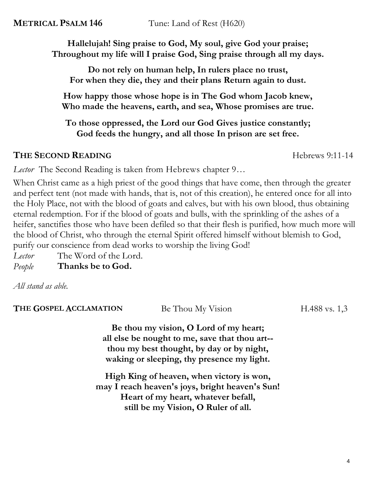**METRICAL PSALM 146** Tune: Land of Rest (H620)

**Hallelujah! Sing praise to God, My soul, give God your praise; Throughout my life will I praise God, Sing praise through all my days.**

**Do not rely on human help, In rulers place no trust, For when they die, they and their plans Return again to dust.**

**How happy those whose hope is in The God whom Jacob knew, Who made the heavens, earth, and sea, Whose promises are true.**

**To those oppressed, the Lord our God Gives justice constantly; God feeds the hungry, and all those In prison are set free.**

## **THE SECOND READING** Hebrews 9:11-14

*Lector* The Second Reading is taken from Hebrews chapter 9…

When Christ came as a high priest of the good things that have come, then through the greater and perfect tent (not made with hands, that is, not of this creation), he entered once for all into the Holy Place, not with the blood of goats and calves, but with his own blood, thus obtaining eternal redemption. For if the blood of goats and bulls, with the sprinkling of the ashes of a heifer, sanctifies those who have been defiled so that their flesh is purified, how much more will the blood of Christ, who through the eternal Spirit offered himself without blemish to God, purify our conscience from dead works to worship the living God!

*Lector* The Word of the Lord. *People* **Thanks be to God.**

*All stand as able.*

| THE GOSPEL ACCLAMATION | Be Thou My Vision                               | $H.488$ vs. 1,3 |
|------------------------|-------------------------------------------------|-----------------|
|                        | Be thou my vision, O Lord of my heart;          |                 |
|                        | all else be nought to me, save that thou art--  |                 |
|                        | thou my best thought, by day or by night,       |                 |
|                        | waking or sleeping, thy presence my light.      |                 |
|                        | High King of heaven, when victory is won,       |                 |
|                        | may I reach heaven's joys, bright heaven's Sun! |                 |
|                        | Heart of my heart, whatever befall,             |                 |
|                        | still be my Vision, O Ruler of all.             |                 |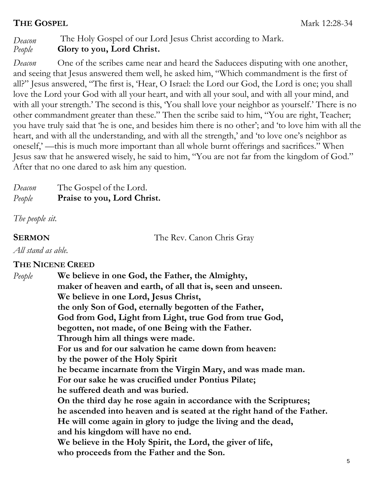## **THE GOSPEL** Mark 12:28-34

# *Deacon* The Holy Gospel of our Lord Jesus Christ according to Mark. *People* **Glory to you, Lord Christ.**

*Deacon* One of the scribes came near and heard the Saducees disputing with one another, and seeing that Jesus answered them well, he asked him, "Which commandment is the first of all?" Jesus answered, "The first is, 'Hear, O Israel: the Lord our God, the Lord is one; you shall love the Lord your God with all your heart, and with all your soul, and with all your mind, and with all your strength.' The second is this, 'You shall love your neighbor as yourself.' There is no other commandment greater than these." Then the scribe said to him, "You are right, Teacher; you have truly said that 'he is one, and besides him there is no other'; and 'to love him with all the heart, and with all the understanding, and with all the strength,' and 'to love one's neighbor as oneself,' —this is much more important than all whole burnt offerings and sacrifices." When Jesus saw that he answered wisely, he said to him, "You are not far from the kingdom of God." After that no one dared to ask him any question.

| Deacon | The Gospel of the Lord.     |
|--------|-----------------------------|
| People | Praise to you, Lord Christ. |

*The people sit.*

**SERMON** The Rev. Canon Chris Gray

*All stand as able.*

#### **THE NICENE CREED**

*People* **We believe in one God, the Father, the Almighty, maker of heaven and earth, of all that is, seen and unseen. We believe in one Lord, Jesus Christ, the only Son of God, eternally begotten of the Father, God from God, Light from Light, true God from true God, begotten, not made, of one Being with the Father. Through him all things were made. For us and for our salvation he came down from heaven: by the power of the Holy Spirit he became incarnate from the Virgin Mary, and was made man. For our sake he was crucified under Pontius Pilate; he suffered death and was buried. On the third day he rose again in accordance with the Scriptures; he ascended into heaven and is seated at the right hand of the Father. He will come again in glory to judge the living and the dead, and his kingdom will have no end. We believe in the Holy Spirit, the Lord, the giver of life, who proceeds from the Father and the Son.**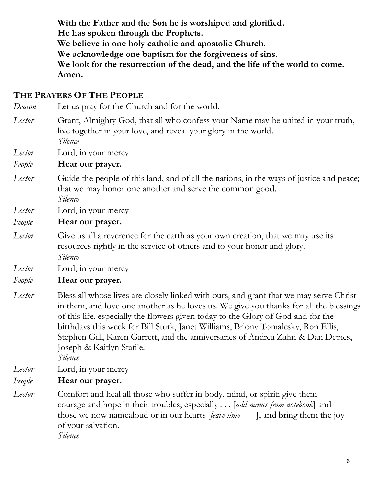**With the Father and the Son he is worshiped and glorified. He has spoken through the Prophets. We believe in one holy catholic and apostolic Church. We acknowledge one baptism for the forgiveness of sins. We look for the resurrection of the dead, and the life of the world to come. Amen.**

#### **THE PRAYERS OF THE PEOPLE**

*Deacon* Let us pray for the Church and for the world.

*Lector* Grant, Almighty God, that all who confess your Name may be united in your truth, live together in your love, and reveal your glory in the world. *Silence*

*Lector* Lord, in your mercy

#### *People* **Hear our prayer.**

- *Lector* Guide the people of this land, and of all the nations, in the ways of justice and peace; that we may honor one another and serve the common good. *Silence*
- *Lector* Lord, in your mercy

#### *People* **Hear our prayer.**

- *Lector* Give us all a reverence for the earth as your own creation, that we may use its resources rightly in the service of others and to your honor and glory. *Silence*
- *Lector* Lord, in your mercy

#### *People* **Hear our prayer.**

*Lector* Bless all whose lives are closely linked with ours, and grant that we may serve Christ in them, and love one another as he loves us. We give you thanks for all the blessings of this life, especially the flowers given today to the Glory of God and for the birthdays this week for Bill Sturk, Janet Williams, Briony Tomalesky, Ron Ellis, Stephen Gill, Karen Garrett, and the anniversaries of Andrea Zahn & Dan Depies, Joseph & Kaitlyn Statile*.*

*Silence*

- *Lector* Lord, in your mercy
- *People* **Hear our prayer.**
- 
- *Lector* Comfort and heal all those who suffer in body, mind, or spirit; give them courage and hope in their troubles, especially . . . [*add names from notebook*] and those we now namealoud or in our hearts [*leave time* ], and bring them the joy of your salvation. *Silence*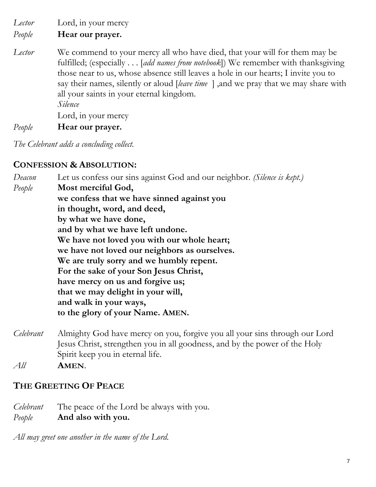*Lector* Lord, in your mercy

*People* **Hear our prayer.**

*Lector* We commend to your mercy all who have died, that your will for them may be fulfilled; (especially . . . [*add names from notebook*]) We remember with thanksgiving those near to us, whose absence still leaves a hole in our hearts; I invite you to say their names, silently or aloud [*leave time* ] ,and we pray that we may share with all your saints in your eternal kingdom. *Silence* Lord, in your mercy

*People* **Hear our prayer.**

*The Celebrant adds a concluding collect.* 

#### **CONFESSION & ABSOLUTION:**

*Deacon* Let us confess our sins against God and our neighbor. *(Silence is kept.) People* **Most merciful God, we confess that we have sinned against you in thought, word, and deed, by what we have done, and by what we have left undone. We have not loved you with our whole heart; we have not loved our neighbors as ourselves. We are truly sorry and we humbly repent. For the sake of your Son Jesus Christ, have mercy on us and forgive us; that we may delight in your will, and walk in your ways, to the glory of your Name. AMEN.**

*Celebrant* Almighty God have mercy on you, forgive you all your sins through our Lord Jesus Christ, strengthen you in all goodness, and by the power of the Holy Spirit keep you in eternal life.

*All* **AMEN**.

#### **THE GREETING OF PEACE**

*Celebrant* The peace of the Lord be always with you. *People* **And also with you.**

*All may greet one another in the name of the Lord.*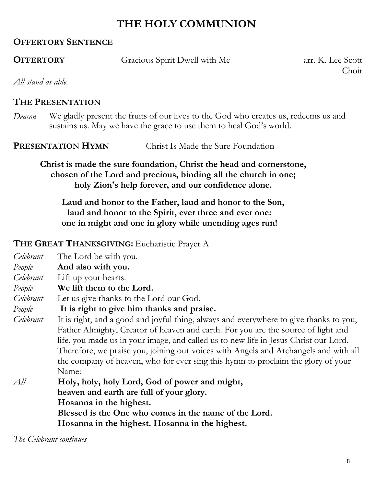# **THE HOLY COMMUNION**

### **OFFERTORY SENTENCE**

**OFFERTORY** Gracious Spirit Dwell with Me arr. K. Lee Scott

Choir

*All stand as able.*

#### **THE PRESENTATION**

*Deacon* We gladly present the fruits of our lives to the God who creates us, redeems us and sustains us. May we have the grace to use them to heal God's world.

**PRESENTATION HYMN** Christ Is Made the Sure Foundation

**Christ is made the sure foundation, Christ the head and cornerstone, chosen of the Lord and precious, binding all the church in one; holy Zion's help forever, and our confidence alone.**

**Laud and honor to the Father, laud and honor to the Son, laud and honor to the Spirit, ever three and ever one: one in might and one in glory while unending ages run!**

## **THE GREAT THANKSGIVING:** Eucharistic Prayer A

*Celebrant* The Lord be with you. *People* **And also with you.** *Celebrant* Lift up your hearts. *People* **We lift them to the Lord.** *Celebrant* Let us give thanks to the Lord our God. *People* **It is right to give him thanks and praise.** *Celebrant* It is right, and a good and joyful thing, always and everywhere to give thanks to you, Father Almighty, Creator of heaven and earth. For you are the source of light and life, you made us in your image, and called us to new life in Jesus Christ our Lord. Therefore, we praise you, joining our voices with Angels and Archangels and with all the company of heaven, who for ever sing this hymn to proclaim the glory of your Name: *All* **Holy, holy, holy Lord, God of power and might, heaven and earth are full of your glory. Hosanna in the highest. Blessed is the One who comes in the name of the Lord.**

**Hosanna in the highest. Hosanna in the highest.**

*The Celebrant continues*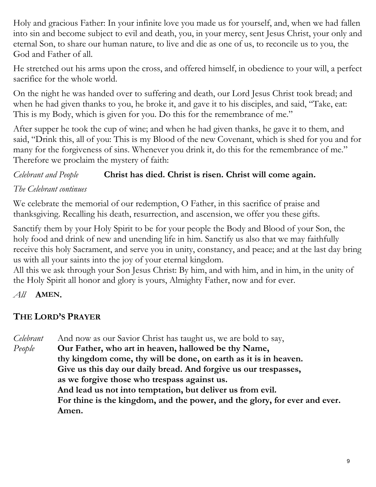Holy and gracious Father: In your infinite love you made us for yourself, and, when we had fallen into sin and become subject to evil and death, you, in your mercy, sent Jesus Christ, your only and eternal Son, to share our human nature, to live and die as one of us, to reconcile us to you, the God and Father of all.

He stretched out his arms upon the cross, and offered himself, in obedience to your will, a perfect sacrifice for the whole world.

On the night he was handed over to suffering and death, our Lord Jesus Christ took bread; and when he had given thanks to you, he broke it, and gave it to his disciples, and said, "Take, eat: This is my Body, which is given for you. Do this for the remembrance of me."

After supper he took the cup of wine; and when he had given thanks, he gave it to them, and said, "Drink this, all of you: This is my Blood of the new Covenant, which is shed for you and for many for the forgiveness of sins. Whenever you drink it, do this for the remembrance of me." Therefore we proclaim the mystery of faith:

# *Celebrant and People* **Christ has died. Christ is risen. Christ will come again.**

# *The Celebrant continues*

We celebrate the memorial of our redemption, O Father, in this sacrifice of praise and thanksgiving. Recalling his death, resurrection, and ascension, we offer you these gifts.

Sanctify them by your Holy Spirit to be for your people the Body and Blood of your Son, the holy food and drink of new and unending life in him. Sanctify us also that we may faithfully receive this holy Sacrament, and serve you in unity, constancy, and peace; and at the last day bring us with all your saints into the joy of your eternal kingdom.

All this we ask through your Son Jesus Christ: By him, and with him, and in him, in the unity of the Holy Spirit all honor and glory is yours, Almighty Father, now and for ever.

*All* **AMEN.**

# **THE LORD'S PRAYER**

*Celebrant* And now as our Savior Christ has taught us, we are bold to say, *People* **Our Father, who art in heaven, hallowed be thy Name, thy kingdom come, thy will be done, on earth as it is in heaven. Give us this day our daily bread. And forgive us our trespasses, as we forgive those who trespass against us. And lead us not into temptation, but deliver us from evil. For thine is the kingdom, and the power, and the glory, for ever and ever. Amen.**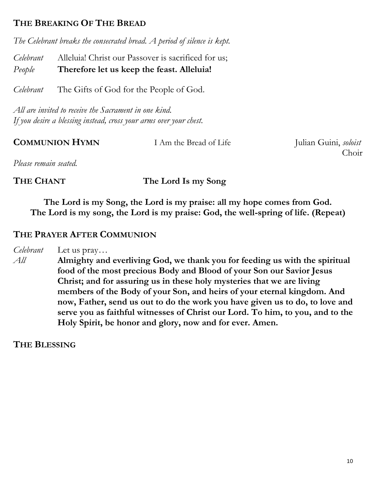## **THE BREAKING OF THE BREAD**

*The Celebrant breaks the consecrated bread. A period of silence is kept.*

*Celebrant* Alleluia! Christ our Passover is sacrificed for us; *People* **Therefore let us keep the feast. Alleluia!**

*Celebrant* The Gifts of God for the People of God.

*All are invited to receive the Sacrament in one kind. If you desire a blessing instead, cross your arms over your chest.*

| <b>COMMUNION HYMN</b> | I Am the Bread of Life | Julian Guini, soloist |
|-----------------------|------------------------|-----------------------|
|                       |                        | Choir                 |
| Please remain seated  |                        |                       |

*Please remain seated.*

**THE CHANT The Lord Is my Song**

**The Lord is my Song, the Lord is my praise: all my hope comes from God. The Lord is my song, the Lord is my praise: God, the well-spring of life. (Repeat)**

#### **THE PRAYER AFTER COMMUNION**

*Celebrant* Let us pray…

*All* **Almighty and everliving God, we thank you for feeding us with the spiritual food of the most precious Body and Blood of your Son our Savior Jesus Christ; and for assuring us in these holy mysteries that we are living members of the Body of your Son, and heirs of your eternal kingdom. And now, Father, send us out to do the work you have given us to do, to love and serve you as faithful witnesses of Christ our Lord. To him, to you, and to the Holy Spirit, be honor and glory, now and for ever. Amen.**

**THE BLESSING**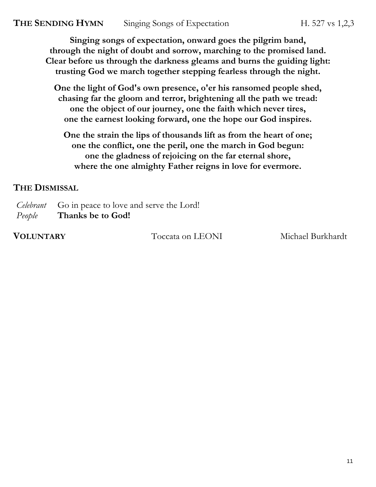**Singing songs of expectation, onward goes the pilgrim band, through the night of doubt and sorrow, marching to the promised land. Clear before us through the darkness gleams and burns the guiding light: trusting God we march together stepping fearless through the night.**

**One the light of God's own presence, o'er his ransomed people shed, chasing far the gloom and terror, brightening all the path we tread: one the object of our journey, one the faith which never tires, one the earnest looking forward, one the hope our God inspires.**

**One the strain the lips of thousands lift as from the heart of one; one the conflict, one the peril, one the march in God begun: one the gladness of rejoicing on the far eternal shore, where the one almighty Father reigns in love for evermore.**

#### **THE DISMISSAL**

*Celebrant* Go in peace to love and serve the Lord! *People* **Thanks be to God!**

**VOLUNTARY** Toccata on LEONI Michael Burkhardt